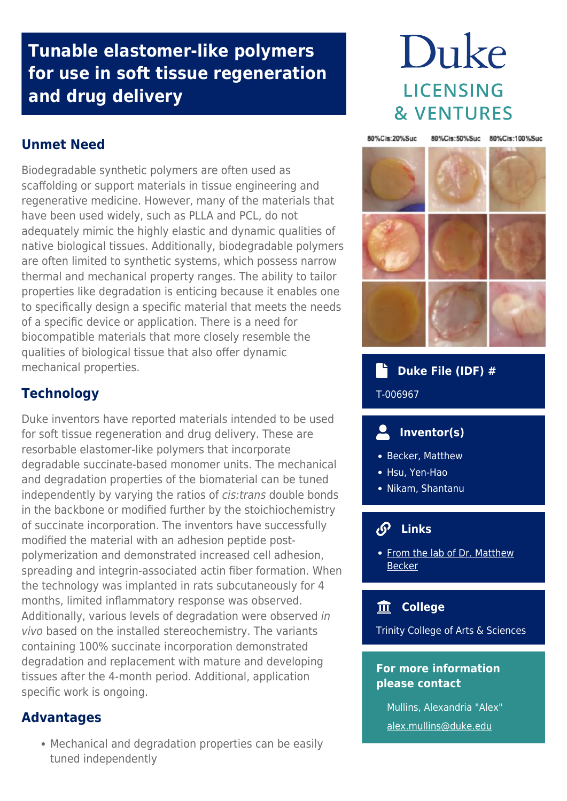# **Tunable elastomer-like polymers for use in soft tissue regeneration and drug delivery**

# Duke **LICENSING & VENTURES**

**Unmet Need**

Biodegradable synthetic polymers are often used as scaffolding or support materials in tissue engineering and regenerative medicine. However, many of the materials that have been used widely, such as PLLA and PCL, do not adequately mimic the highly elastic and dynamic qualities of native biological tissues. Additionally, biodegradable polymers are often limited to synthetic systems, which possess narrow thermal and mechanical property ranges. The ability to tailor properties like degradation is enticing because it enables one to specifically design a specific material that meets the needs of a specific device or application. There is a need for biocompatible materials that more closely resemble the qualities of biological tissue that also offer dynamic mechanical properties.



Duke inventors have reported materials intended to be used for soft tissue regeneration and drug delivery. These are resorbable elastomer-like polymers that incorporate degradable succinate-based monomer units. The mechanical and degradation properties of the biomaterial can be tuned independently by varying the ratios of cis:trans double bonds in the backbone or modified further by the stoichiochemistry of succinate incorporation. The inventors have successfully modified the material with an adhesion peptide postpolymerization and demonstrated increased cell adhesion, spreading and integrin-associated actin fiber formation. When the technology was implanted in rats subcutaneously for 4 months, limited inflammatory response was observed. Additionally, various levels of degradation were observed in vivo based on the installed stereochemistry. The variants containing 100% succinate incorporation demonstrated degradation and replacement with mature and developing tissues after the 4-month period. Additional, application specific work is ongoing.

### **Advantages**

Mechanical and degradation properties can be easily tuned independently



 **Duke File (IDF) #** T-006967

#### $\mathbf{2}$  **Inventor(s)**

- Becker, Matthew
- Hsu, Yen-Hao
- Nikam, Shantanu

## **Links**

• [From the lab of Dr. Matthew](https://sites.duke.edu/mlbeckergroup/) [Becker](https://sites.duke.edu/mlbeckergroup/)

### **College**

Trinity College of Arts & Sciences

#### **For more information please contact**

Mullins, Alexandria "Alex" [alex.mullins@duke.edu](mailto:alex.mullins@duke.edu)